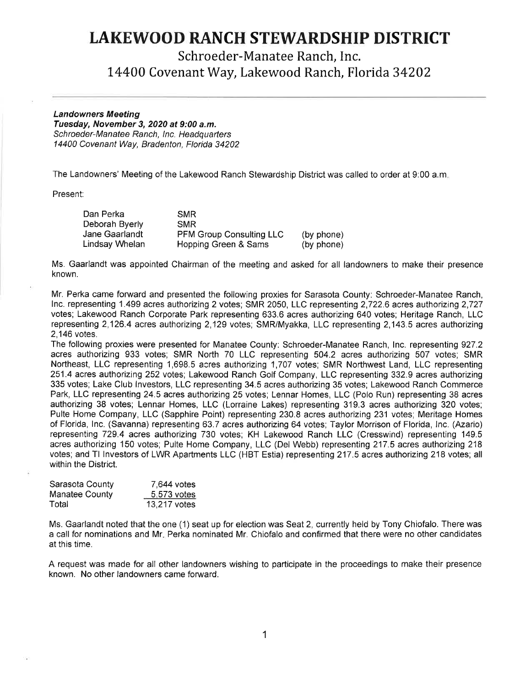## **LAKEWOOD RANCH STEWARDSHIP DISTRICT**

Schroeder-Manatee Ranch, Inc.

14400 Covenant Way, Lakewood Ranch, Florida 34202

## **Landowners Meeting**

**Tuesday, November 3, 2020 at 9:00 a.m.**  Schroeder-Manatee Ranch, Inc. Headquarters 14400 Covenant Way, Bradenton, Florida 34202

The Landowners' Meeting of the Lakewood Ranch Stewardship District was called to order at 9:00 a.m.

Present:

| Dan Perka      | SMR.                            |            |
|----------------|---------------------------------|------------|
| Deborah Byerly | <b>SMR</b>                      |            |
| Jane Gaarlandt | <b>PFM Group Consulting LLC</b> | (by phone) |
| Lindsay Whelan | Hopping Green & Sams            | (by phone) |

Ms. Gaarlandt was appointed Chairman of the meeting and asked for all landowners to make their presence known.

Mr. Perka came forward and presented the following proxies for Sarasota County: Schroeder-Manatee Ranch, Inc. representing 1.499 acres authorizing 2 votes; SMR 2050, LLC representing 2,722.6 acres authorizing 2,727 votes; Lakewood Ranch Corporate Park representing 633.6 acres authorizing 640 votes; Heritage Ranch, LLC representing 2,126.4 acres authorizing 2,129 votes; SMR/Myakka, LLC representing 2,143.5 acres authorizing 2,146 votes.

The following proxies were presented for Manatee County: Schroeder-Manatee Ranch, Inc. representing 927.2 acres authorizing 933 votes; SMR North 70 LLC representing 504.2 acres authorizing 507 votes; SMR Northeast, LLC representing 1,698.5 acres authorizing 1,707 votes; SMR Northwest Land, LLC representing 251.4 acres authorizing 252 votes; Lakewood Ranch Golf Company, LLC representing 332.9 acres authorizing 335 votes; Lake Club Investors, LLC representing 34.5 acres authorizing 35 votes; Lakewood Ranch Commerce Park, LLC representing 24.5 acres authorizing 25 votes; Lennar Homes, LLC (Polo Run) representing 38 acres authorizing 38 votes; Lennar Homes, LLC (Lorraine Lakes) representing 319.3 acres authorizing 320 votes; Pulte Home Company, LLC (Sapphire Point) representing 230.8 acres authorizing 231 votes; Meritage Homes of Florida, Inc. (Savanna) representing 63. 7 acres authorizing 64 votes; Taylor Morrison of Florida, Inc. (Azario) representing 729.4 acres authorizing 730 votes; KH Lakewood Ranch LLC (Cresswind) representing 149.5 acres authorizing 150 votes; Pulte Home Company, LLC (Del Webb) representing 217.5 acres authorizing 218 votes; and Tl Investors of LWR Apartments LLC (HBT Estia) representing 217.5 acres authorizing 218 votes; all within the District.

| Sarasota County | 7,644 votes  |
|-----------------|--------------|
| Manatee County  | 5,573 votes  |
| Total           | 13,217 votes |

Ms. Gaarlandt noted that the one (1) seat up for election was Seat 2, currently held by Tony Chiofalo. There was a call for nominations and Mr, Perka nominated Mr. Chiofalo and confirmed that there were no other candidates at this time.

A request was made for all other landowners wishing to participate in the proceedings to make their presence known. No other landowners came forward.